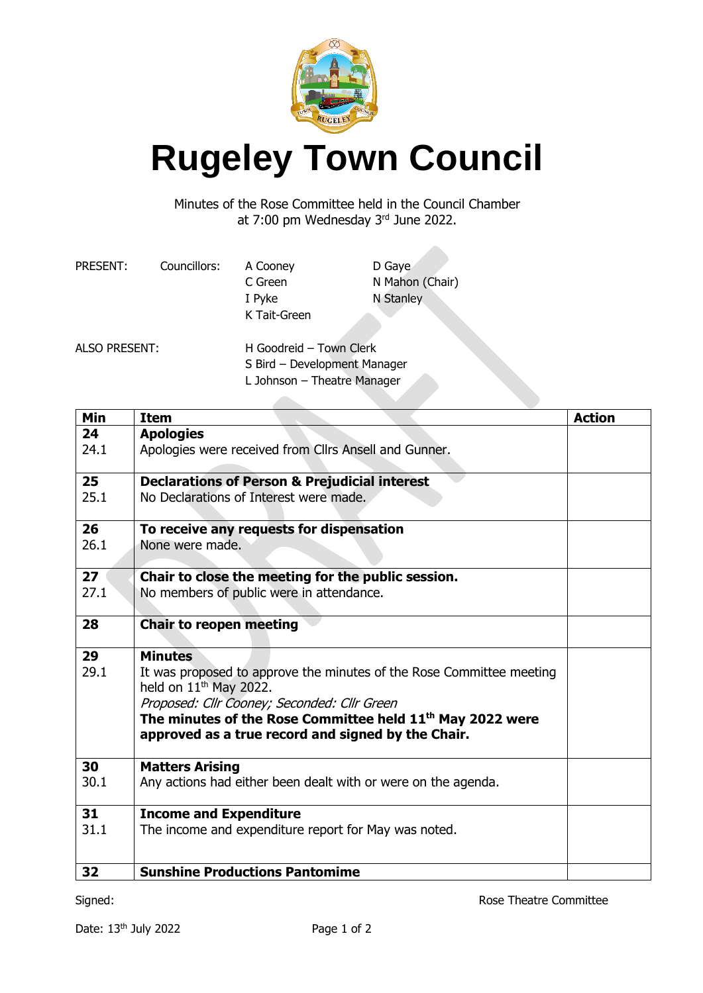

## **Rugeley Town Council**

Minutes of the Rose Committee held in the Council Chamber at 7:00 pm Wednesday 3rd June 2022.

| PRESENT:             | Councillors:                | A Cooney                     | D Gaye          |  |
|----------------------|-----------------------------|------------------------------|-----------------|--|
|                      |                             | C Green                      | N Mahon (Chair) |  |
|                      |                             | I Pyke                       | N Stanley       |  |
|                      |                             | K Tait-Green                 |                 |  |
| <b>ALSO PRESENT:</b> |                             | H Goodreid - Town Clerk      |                 |  |
|                      |                             | S Bird - Development Manager |                 |  |
|                      | L Johnson - Theatre Manager |                              |                 |  |

**Min Item Action 24** 24.1 **Apologies** Apologies were received from Cllrs Ansell and Gunner. **25** 25.1 **Declarations of Person & Prejudicial interest**  No Declarations of Interest were made. **26** 26.1 **To receive any requests for dispensation** None were made. **27** 27.1 **Chair to close the meeting for the public session.** No members of public were in attendance. **28 Chair to reopen meeting 29** 29.1 **Minutes** It was proposed to approve the minutes of the Rose Committee meeting held on  $11<sup>th</sup>$  May 2022. Proposed: Cllr Cooney; Seconded: Cllr Green **The minutes of the Rose Committee held 11 th May 2022 were approved as a true record and signed by the Chair. 30** 30.1 **Matters Arising** Any actions had either been dealt with or were on the agenda. **31** 31.1 **Income and Expenditure** The income and expenditure report for May was noted. **32 Sunshine Productions Pantomime**

Signed: **Rose Theatre Committee**